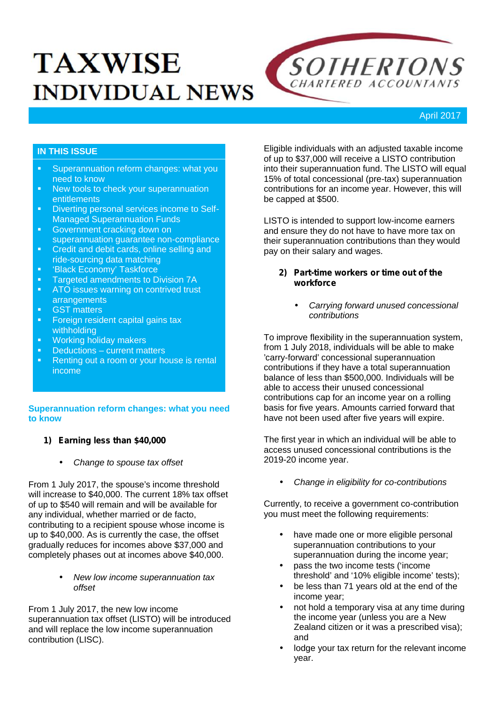# **TAXWISE INDIVIDUAL NEWS**



# April 2017

# **IN THIS ISSUE**

- **Superannuation reform changes: what you** need to know
- K New tools to check your superannuation **entitlements**
- **•** Diverting personal services income to Self-Managed Superannuation Funds
- **Government cracking down on** superannuation guarantee non-compliance
- **•** Credit and debit cards, online selling and ride-sourcing data matching
- 'Black Economy' Taskforce<br>■ Targeted amendments to D
- Targeted amendments to Division 7A
- ATO issues warning on contrived trust arrangements
- GST matters<br>Foreign resident
- Foreign resident capital gains tax withholding
- **Working holiday makers**
- **Deductions current matters**<br>**Renting out a room or your hotel**
- Renting out a room or your house is rental income

## **Superannuation reform changes: what you need to know**

# *1) Earning less than \$40,000*

*Change to spouse tax offset*

From 1 July 2017, the spouse's income threshold will increase to \$40,000. The current 18% tax offset of up to \$540 will remain and will be available for any individual, whether married or de facto, contributing to a recipient spouse whose income is up to \$40,000. As is currently the case, the offset gradually reduces for incomes above \$37,000 and completely phases out at incomes above \$40,000.

> *New low income superannuation tax offset*

From 1 July 2017, the new low income superannuation tax offset (LISTO) will be introduced and will replace the low income superannuation contribution (LISC).

Eligible individuals with an adjusted taxable income of up to \$37,000 will receive a LISTO contribution into their superannuation fund. The LISTO will equal 15% of total concessional (pre-tax) superannuation contributions for an income year. However, this will be capped at \$500.

LISTO is intended to support low-income earners and ensure they do not have to have more tax on their superannuation contributions than they would pay on their salary and wages.

## *2) Part-time workers or time out of the workforce*

 *Carrying forward unused concessional contributions*

To improve flexibility in the superannuation system, from 1 July 2018, individuals will be able to make 'carry-forward' concessional superannuation contributions if they have a total superannuation balance of less than \$500,000. Individuals will be able to access their unused concessional contributions cap for an income year on a rolling basis for five years. Amounts carried forward that have not been used after five years will expire.

The first year in which an individual will be able to access unused concessional contributions is the 2019-20 income year.

*Change in eligibility for co-contributions*

Currently, to receive a government co-contribution you must meet the following requirements:

- have made one or more eligible personal superannuation contributions to your superannuation during the income year;
- pass the two income tests ('income threshold' and '10% eligible income' tests);
- be less than 71 years old at the end of the income year;
- not hold a temporary visa at any time during the income year (unless you are a New Zealand citizen or it was a prescribed visa); and
- lodge your tax return for the relevant income year.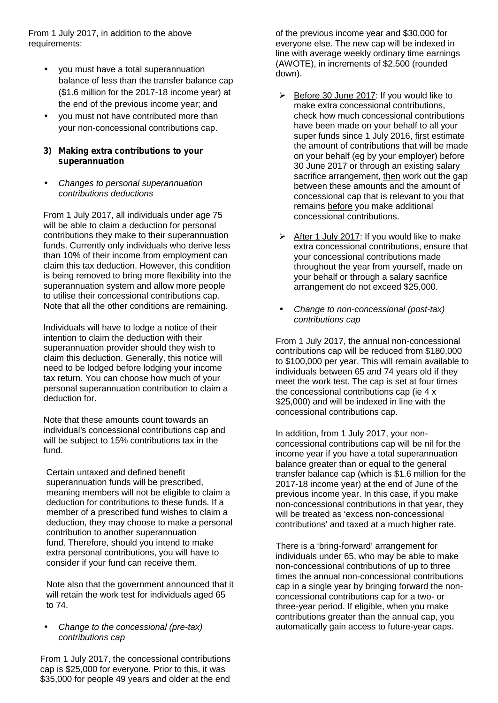From 1 July 2017, in addition to the above requirements:

- vou must have a total superannuation balance of less than the transfer balance cap (\$1.6 million for the 2017-18 income year) at the end of the previous income year; and
- you must not have contributed more than your non-concessional contributions cap.

## *3) Making extra contributions to your superannuation*

 *Changes to personal superannuation contributions deductions*

From 1 July 2017, all individuals under age 75 will be able to claim a deduction for personal contributions they make to their superannuation funds. Currently only individuals who derive less than 10% of their income from employment can claim this tax deduction. However, this condition is being removed to bring more flexibility into the superannuation system and allow more people to utilise their concessional contributions cap. Note that all the other conditions are remaining.

Individuals will have to lodge a notice of their intention to claim the deduction with their superannuation provider should they wish to claim this deduction. Generally, this notice will need to be lodged before lodging your income tax return. You can choose how much of your personal superannuation contribution to claim a deduction for.

Note that these amounts count towards an individual's concessional contributions cap and will be subject to 15% contributions tax in the fund.

Certain untaxed and defined benefit superannuation funds will be prescribed, meaning members will not be eligible to claim a deduction for contributions to these funds. If a member of a prescribed fund wishes to claim a deduction, they may choose to make a personal contribution to another superannuation fund. Therefore, should you intend to make extra personal contributions, you will have to consider if your fund can receive them.

Note also that the government announced that it will retain the work test for individuals aged 65 to 74.

 *Change to the concessional (pre-tax) contributions cap*

From 1 July 2017, the concessional contributions cap is \$25,000 for everyone. Prior to this, it was \$35,000 for people 49 years and older at the end

of the previous income year and \$30,000 for everyone else. The new cap will be indexed in line with average weekly ordinary time earnings (AWOTE), in increments of \$2,500 (rounded down).

- $\triangleright$  Before 30 June 2017: If you would like to make extra concessional contributions, check how much concessional contributions have been made on your behalf to all your super funds since 1 July 2016, first estimate the amount of contributions that will be made on your behalf (eg by your employer) before 30 June 2017 or through an existing salary sacrifice arrangement, then work out the gap between these amounts and the amount of concessional cap that is relevant to you that remains before you make additional concessional contributions.
- $\triangleright$  After 1 July 2017: If you would like to make extra concessional contributions, ensure that your concessional contributions made throughout the year from yourself, made on your behalf or through a salary sacrifice arrangement do not exceed \$25,000.
- *Change to non-concessional (post-tax) contributions cap*

From 1 July 2017, the annual non-concessional contributions cap will be reduced from \$180,000 to \$100,000 per year. This will remain available to individuals between 65 and 74 years old if they meet the work test. The cap is set at four times the concessional contributions cap (ie 4 x \$25,000) and will be indexed in line with the concessional contributions cap.

In addition, from 1 July 2017, your non concessional contributions cap will be nil for the income year if you have a total superannuation balance greater than or equal to the general transfer balance cap (which is \$1.6 million for the 2017-18 income year) at the end of June of the previous income year. In this case, if you make non-concessional contributions in that year, they will be treated as 'excess non-concessional contributions' and taxed at a much higher rate.

There is a 'bring-forward' arrangement for individuals under 65, who may be able to make non-concessional contributions of up to three times the annual non-concessional contributions cap in a single year by bringing forward the non concessional contributions cap for a two- or three-year period. If eligible, when you make contributions greater than the annual cap, you automatically gain access to future-year caps.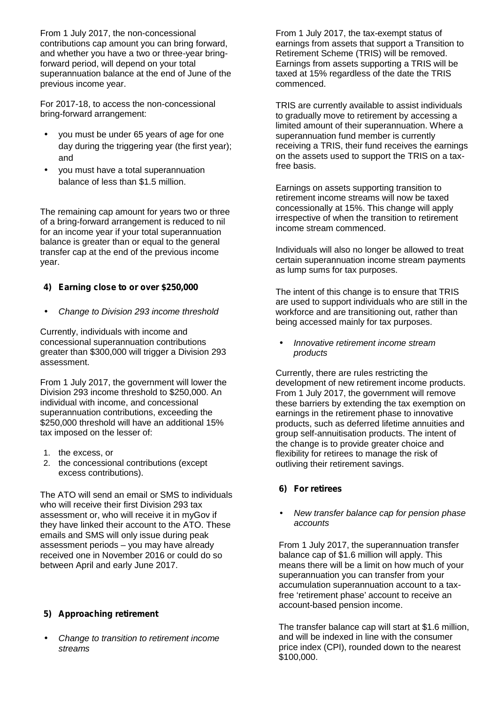From 1 July 2017, the non-concessional contributions cap amount you can bring forward, and whether you have a two or three-year bringforward period, will depend on your total superannuation balance at the end of June of the previous income year.

For 2017-18, to access the non-concessional bring-forward arrangement:

- you must be under 65 years of age for one day during the triggering year (the first year); and
- you must have a total superannuation balance of less than \$1.5 million.

The remaining cap amount for years two or three of a bring-forward arrangement is reduced to nil for an income year if your total superannuation balance is greater than or equal to the general transfer cap at the end of the previous income year.

# *4) Earning close to or over \$250,000*

*Change to Division 293 income threshold*

Currently, individuals with income and concessional superannuation contributions greater than \$300,000 will trigger a Division 293 assessment.

From 1 July 2017, the government will lower the Division 293 income threshold to \$250,000. An individual with income, and concessional superannuation contributions, exceeding the \$250,000 threshold will have an additional 15% tax imposed on the lesser of:

- 1. the excess, or
- 2. the concessional contributions (except excess contributions).

The ATO will send an email or SMS to individuals who will receive their first Division 293 tax assessment or, who will receive it in myGov if they have linked their account to the ATO. These emails and SMS will only issue during peak assessment periods – you may have already received one in November 2016 or could do so between April and early June 2017.

# *5) Approaching retirement*

 *Change to transition to retirement income streams*

From 1 July 2017, the tax-exempt status of earnings from assets that support a Transition to Retirement Scheme (TRIS) will be removed. Earnings from assets supporting a TRIS will be taxed at 15% regardless of the date the TRIS commenced.

TRIS are currently available to assist individuals to gradually move to retirement by accessing a limited amount of their superannuation. Where a superannuation fund member is currently receiving a TRIS, their fund receives the earnings on the assets used to support the TRIS on a taxfree basis.

Earnings on assets supporting transition to retirement income streams will now be taxed concessionally at 15%. This change will apply irrespective of when the transition to retirement income stream commenced.

Individuals will also no longer be allowed to treat certain superannuation income stream payments as lump sums for tax purposes.

The intent of this change is to ensure that TRIS are used to support individuals who are still in the workforce and are transitioning out, rather than being accessed mainly for tax purposes.

 *Innovative retirement income stream products*

Currently, there are rules restricting the development of new retirement income products. From 1 July 2017, the government will remove these barriers by extending the tax exemption on earnings in the retirement phase to innovative products, such as deferred lifetime annuities and group self-annuitisation products. The intent of the change is to provide greater choice and flexibility for retirees to manage the risk of outliving their retirement savings.

# *6) For retirees*

## *New transfer balance cap for pension phase accounts*

From 1 July 2017, the superannuation transfer balance cap of \$1.6 million will apply. This means there will be a limit on how much of your superannuation you can transfer from your accumulation superannuation account to a taxfree 'retirement phase' account to receive an account-based pension income.

The transfer balance cap will start at \$1.6 million, and will be indexed in line with the consumer price index (CPI), rounded down to the nearest \$100,000.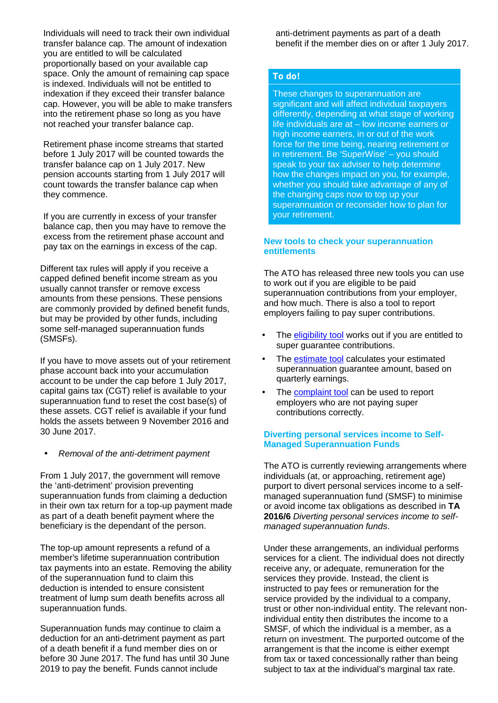Individuals will need to track their own individual transfer balance cap. The amount of indexation you are entitled to will be calculated proportionally based on your available cap space. Only the amount of remaining cap space is indexed. Individuals will not be entitled to indexation if they exceed their transfer balance cap. However, you will be able to make transfers into the retirement phase so long as you have not reached your transfer balance cap.

Retirement phase income streams that started before 1 July 2017 will be counted towards the transfer balance cap on 1 July 2017. New pension accounts starting from 1 July 2017 will count towards the transfer balance cap when they commence.

If you are currently in excess of your transfer balance cap, then you may have to remove the excess from the retirement phase account and pay tax on the earnings in excess of the cap.

Different tax rules will apply if you receive a capped defined benefit income stream as you usually cannot transfer or remove excess amounts from these pensions. These pensions are commonly provided by defined benefit funds, but may be provided by other funds, including some self-managed superannuation funds (SMSFs).

If you have to move assets out of your retirement phase account back into your accumulation account to be under the cap before 1 July 2017, capital gains tax (CGT) relief is available to your superannuation fund to reset the cost base(s) of these assets. CGT relief is available if your fund holds the assets between 9 November 2016 and 30 June 2017.

#### *Removal of the anti-detriment payment*

From 1 July 2017, the government will remove the 'anti-detriment' provision preventing superannuation funds from claiming a deduction in their own tax return for a top-up payment made as part of a death benefit payment where the beneficiary is the dependant of the person.

The top-up amount represents a refund of a member's lifetime superannuation contribution tax payments into an estate. Removing the ability of the superannuation fund to claim this deduction is intended to ensure consistent treatment of lump sum death benefits across all superannuation funds.

Superannuation funds may continue to claim a deduction for an anti-detriment payment as part of a death benefit if a fund member dies on or before 30 June 2017. The fund has until 30 June 2019 to pay the benefit. Funds cannot include

anti-detriment payments as part of a death benefit if the member dies on or after 1 July 2017.

#### *To do!*

These changes to superannuation are significant and will affect individual taxpayers differently, depending at what stage of working life individuals are at – low income earners or high income earners, in or out of the work force for the time being, nearing retirement or in retirement. Be 'SuperWise' – you should speak to your tax adviser to help determine how the changes impact on you, for example, whether you should take advantage of any of the changing caps now to top up your superannuation or reconsider how to plan for your retirement.

#### **New tools to check your superannuation entitlements**

The ATO has released three new tools you can use to work out if you are eligible to be paid superannuation contributions from your employer, and how much. There is also a tool to report employers failing to pay super contributions.

- The eligibility tool works out if you are entitled to super guarantee contributions.
- The **estimate tool** calculates your estimated superannuation guarantee amount, based on quarterly earnings.
- The complaint tool can be used to report employers who are not paying super contributions correctly.

## **Diverting personal services income to Self- Managed Superannuation Funds**

The ATO is currently reviewing arrangements where individuals (at, or approaching, retirement age) purport to divert personal services income to a self managed superannuation fund (SMSF) to minimise or avoid income tax obligations as described in **TA 2016/6** *Diverting personal services income to self managed superannuation funds*.

Under these arrangements, an individual performs services for a client. The individual does not directly receive any, or adequate, remuneration for the services they provide. Instead, the client is instructed to pay fees or remuneration for the service provided by the individual to a company, trust or other non-individual entity. The relevant nonindividual entity then distributes the income to a SMSF, of which the individual is a member, as a return on investment. The purported outcome of the arrangement is that the income is either exempt from tax or taxed concessionally rather than being subject to tax at the individual's marginal tax rate.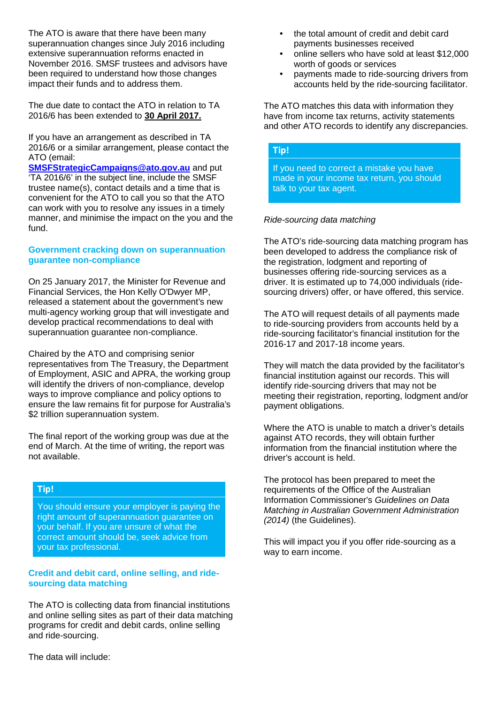The ATO is aware that there have been many superannuation changes since July 2016 including extensive superannuation reforms enacted in November 2016. SMSF trustees and advisors have been required to understand how those changes impact their funds and to address them.

The due date to contact the ATO in relation to TA 2016/6 has been extended to **30 April 2017.**

If you have an arrangement as described in TA 2016/6 or a similar arrangement, please contact the ATO (email:

**SMSFStrategicCampaigns@ato.gov.au** and put 'TA 2016/6' in the subject line, include the SMSF trustee name(s), contact details and a time that is convenient for the ATO to call you so that the ATO can work with you to resolve any issues in a timely manner, and minimise the impact on the you and the fund.

#### **Government cracking down on superannuation guarantee non-compliance**

On 25 January 2017, the Minister for Revenue and Financial Services, the Hon Kelly O'Dwyer MP, released a statement about the government's new multi-agency working group that will investigate and develop practical recommendations to deal with superannuation guarantee non-compliance.

Chaired by the ATO and comprising senior representatives from The Treasury, the Department of Employment, ASIC and APRA, the working group will identify the drivers of non-compliance, develop ways to improve compliance and policy options to ensure the law remains fit for purpose for Australia's \$2 trillion superannuation system.

The final report of the working group was due at the end of March. At the time of writing, the report was not available.

## *Tip!*

You should ensure your employer is paying the right amount of superannuation guarantee on your behalf. If you are unsure of what the correct amount should be, seek advice from your tax professional.

## **Credit and debit card, online selling, and ride sourcing data matching**

The ATO is collecting data from financial institutions and online selling sites as part of their data matching programs for credit and debit cards, online selling and ride-sourcing.

The data will include:

- the total amount of credit and debit card payments businesses received
- online sellers who have sold at least \$12,000 worth of goods or services
- payments made to ride-sourcing drivers from accounts held by the ride-sourcing facilitator.

The ATO matches this data with information they have from income tax returns, activity statements and other ATO records to identify any discrepancies.

## *Tip!*

If you need to correct a mistake you have made in your income tax return, you should talk to your tax agent.

## *Ride-sourcing data matching*

The ATO's ride-sourcing data matching program has been developed to address the compliance risk of the registration, lodgment and reporting of businesses offering ride-sourcing services as a driver. It is estimated up to 74,000 individuals (ride sourcing drivers) offer, or have offered, this service.

The ATO will request details of all payments made to ride-sourcing providers from accounts held by a ride-sourcing facilitator's financial institution for the 2016-17 and 2017-18 income years.

They will match the data provided by the facilitator's financial institution against our records. This will identify ride-sourcing drivers that may not be meeting their registration, reporting, lodgment and/or payment obligations.

Where the ATO is unable to match a driver's details against ATO records, they will obtain further information from the financial institution where the driver's account is held.

The protocol has been prepared to meet the requirements of the Office of the Australian Information Commissioner's *Guidelines on Data Matching in Australian Government Administration (2014)* (the Guidelines).

This will impact you if you offer ride-sourcing as a way to earn income.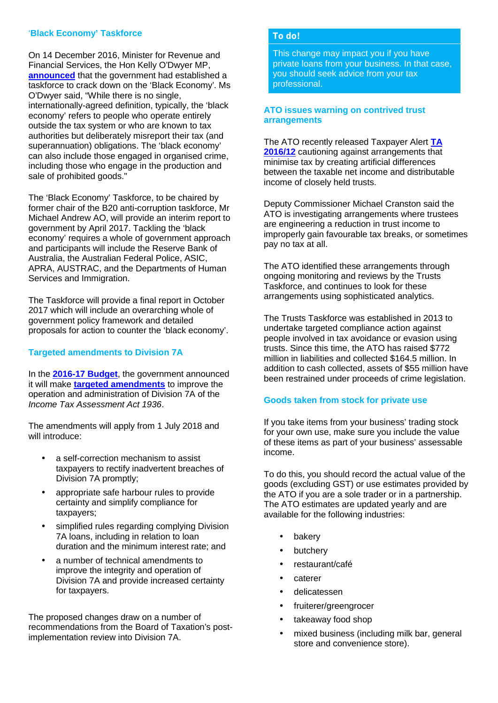## '**Black Economy' Taskforce**

On 14 December 2016, Minister for Revenue and Financial Services, the Hon Kelly O'Dwyer MP, **announced** that the government had established a taskforce to crack down on the 'Black Economy'. Ms O'Dwyer said, "While there is no single, internationally-agreed definition, typically, the 'black economy' refers to people who operate entirely outside the tax system or who are known to tax authorities but deliberately misreport their tax (and superannuation) obligations. The 'black economy' can also include those engaged in organised crime, including those who engage in the production and sale of prohibited goods."

The 'Black Economy' Taskforce, to be chaired by former chair of the B20 anti-corruption taskforce, Mr Michael Andrew AO, will provide an interim report to government by April 2017. Tackling the 'black economy' requires a whole of government approach and participants will include the Reserve Bank of Australia, the Australian Federal Police, ASIC, APRA, AUSTRAC, and the Departments of Human Services and Immigration.

The Taskforce will provide a final report in October 2017 which will include an overarching whole of government policy framework and detailed proposals for action to counter the 'black economy'.

## **Targeted amendments to Division 7A**

In the **2016-17 Budget**, the government announced it will make **targeted amendments** to improve the operation and administration of Division 7A of the *Income Tax Assessment Act 1936*.

The amendments will apply from 1 July 2018 and will introduce:

- a self-correction mechanism to assist taxpayers to rectify inadvertent breaches of Division 7A promptly;
- appropriate safe harbour rules to provide certainty and simplify compliance for taxpayers;
- simplified rules regarding complying Division 7A loans, including in relation to loan duration and the minimum interest rate; and
- a number of technical amendments to improve the integrity and operation of Division 7A and provide increased certainty for taxpayers.

The proposed changes draw on a number of recommendations from the Board of Taxation's postimplementation review into Division 7A.

#### *To do!*

This change may impact you if you have private loans from your business. In that case, you should seek advice from your tax professional.

## **ATO issues warning on contrived trust arrangements**

The ATO recently released Taxpayer Alert **TA 2016/12** cautioning against arrangements that minimise tax by creating artificial differences between the taxable net income and distributable income of closely held trusts.

Deputy Commissioner Michael Cranston said the ATO is investigating arrangements where trustees are engineering a reduction in trust income to improperly gain favourable tax breaks, or sometimes pay no tax at all.

The ATO identified these arrangements through ongoing monitoring and reviews by the Trusts Taskforce, and continues to look for these arrangements using sophisticated analytics.

The Trusts Taskforce was established in 2013 to undertake targeted compliance action against people involved in tax avoidance or evasion using trusts. Since this time, the ATO has raised \$772 million in liabilities and collected \$164.5 million. In addition to cash collected, assets of \$55 million have been restrained under proceeds of crime legislation.

## **Goods taken from stock for private use**

If you take items from your business' trading stock for your own use, make sure you include the value of these items as part of your business' assessable income.

To do this, you should record the actual value of the goods (excluding GST) or use estimates provided by the ATO if you are a sole trader or in a partnership. The ATO estimates are updated yearly and are available for the following industries:

- bakery
- butchery
- restaurant/café
- caterer
- delicatessen
- fruiterer/greengrocer
- takeaway food shop
- mixed business (including milk bar, general store and convenience store).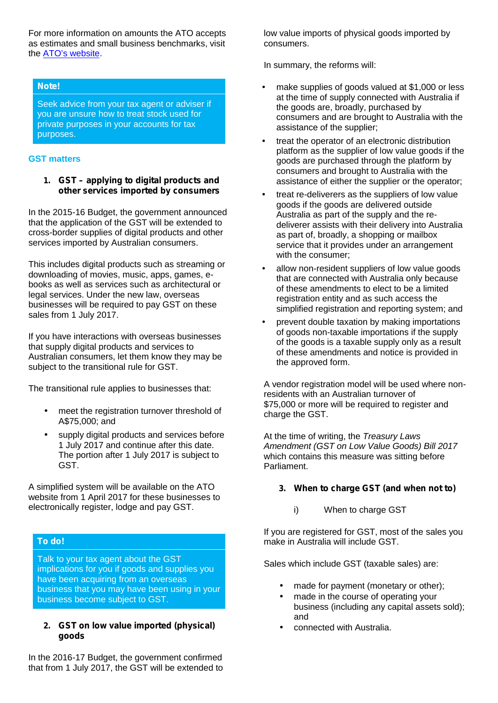For more information on amounts the ATO accepts as estimates and small business benchmarks, visit the ATO's website.

## *Note!*

Seek advice from your tax agent or adviser if you are unsure how to treat stock used for private purposes in your accounts for tax purposes.

## **GST matters**

*1. GST – applying to digital products and other services imported by consumers*

In the 2015-16 Budget, the government announced that the application of the GST will be extended to cross-border supplies of digital products and other services imported by Australian consumers.

This includes digital products such as streaming or downloading of movies, music, apps, games, e books as well as services such as architectural or legal services. Under the new law, overseas businesses will be required to pay GST on these sales from 1 July 2017.

If you have interactions with overseas businesses that supply digital products and services to Australian consumers, let them know they may be subject to the transitional rule for GST.

The transitional rule applies to businesses that:

- meet the registration turnover threshold of A\$75,000; and
- supply digital products and services before 1 July 2017 and continue after this date. The portion after 1 July 2017 is subject to GST.

A simplified system will be available on the ATO website from 1 April 2017 for these businesses to electronically register, lodge and pay GST.

#### *To do!*

Talk to your tax agent about the GST implications for you if goods and supplies you have been acquiring from an overseas business that you may have been using in your business become subject to GST.

# *2. GST on low value imported (physical) goods*

In the 2016-17 Budget, the government confirmed that from 1 July 2017, the GST will be extended to

low value imports of physical goods imported by consumers.

In summary, the reforms will:

- make supplies of goods valued at \$1,000 or less at the time of supply connected with Australia if the goods are, broadly, purchased by consumers and are brought to Australia with the assistance of the supplier;
- treat the operator of an electronic distribution platform as the supplier of low value goods if the goods are purchased through the platform by consumers and brought to Australia with the assistance of either the supplier or the operator;
- treat re-deliverers as the suppliers of low value goods if the goods are delivered outside Australia as part of the supply and the re deliverer assists with their delivery into Australia as part of, broadly, a shopping or mailbox service that it provides under an arrangement with the consumer;
- allow non-resident suppliers of low value goods that are connected with Australia only because of these amendments to elect to be a limited registration entity and as such access the simplified registration and reporting system; and
- prevent double taxation by making importations of goods non-taxable importations if the supply of the goods is a taxable supply only as a result of these amendments and notice is provided in the approved form.

A vendor registration model will be used where nonresidents with an Australian turnover of \$75,000 or more will be required to register and charge the GST.

At the time of writing, the *Treasury Laws Amendment (GST on Low Value Goods) Bill 2017* which contains this measure was sitting before Parliament.

## *3. When to charge GST (and when not to)*

i) When to charge GST

If you are registered for GST, most of the sales you make in Australia will include GST.

Sales which include GST (taxable sales) are:

- made for payment (monetary or other);
- made in the course of operating your business (including any capital assets sold); and
- connected with Australia.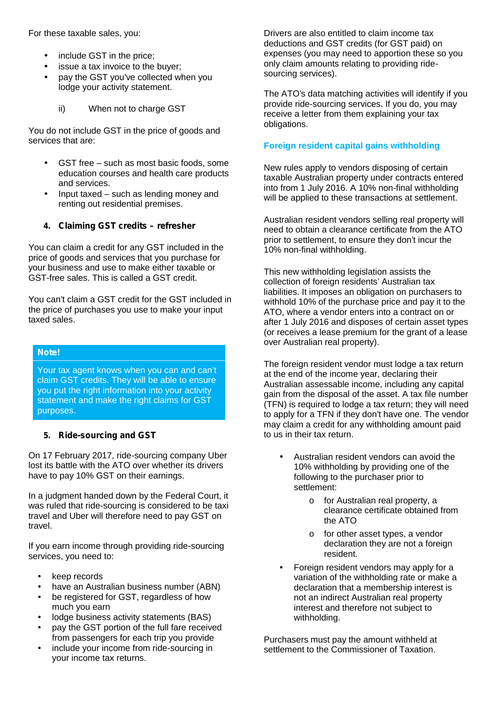For these taxable sales, you:

- include GST in the price;
- issue a tax invoice to the buyer;
- pay the GST you've collected when you lodge your activity statement.
	- ii) When not to charge GST

You do not include GST in the price of goods and services that are:

- GST free such as most basic foods, some education courses and health care products and services.
- Input taxed such as lending money and renting out residential premises.

## *4. Claiming GST credits – refresher*

You can claim a credit for any GST included in the price of goods and services that you purchase for your business and use to make either taxable or GST-free sales. This is called a GST credit.

You can't claim a GST credit for the GST included in the price of purchases you use to make your input taxed sales.

## *Note!*

Your tax agent knows when you can and can't claim GST credits. They will be able to ensure you put the right information into your activity statement and make the right claims for GST purposes.

## *5. Ride-sourcing and GST*

On 17 February 2017, ride-sourcing company Uber lost its battle with the ATO over whether its drivers have to pay 10% GST on their earnings.

In a judgment handed down by the Federal Court, it was ruled that ride-sourcing is considered to be taxi travel and Uber will therefore need to pay GST on travel.

If you earn income through providing ride-sourcing services, you need to:

- keep records
- have an Australian business number (ABN)
- be registered for GST, regardless of how much you earn
- lodge business activity statements (BAS)
- pay the GST portion of the full fare received from passengers for each trip you provide
- include your income from ride-sourcing in your income tax returns.

Drivers are also entitled to claim income tax deductions and GST credits (for GST paid) on expenses (you may need to apportion these so you only claim amounts relating to providing ride sourcing services).

The ATO's data matching activities will identify if you provide ride-sourcing services. If you do, you may receive a letter from them explaining your tax obligations.

# **Foreign resident capital gains withholding**

New rules apply to vendors disposing of certain taxable Australian property under contracts entered into from 1 July 2016. A 10% non-final withholding will be applied to these transactions at settlement.

Australian resident vendors selling real property will need to obtain a clearance certificate from the ATO prior to settlement, to ensure they don't incur the 10% non-final withholding.

This new withholding legislation assists the collection of foreign residents' Australian tax liabilities. It imposes an obligation on purchasers to withhold 10% of the purchase price and pay it to the ATO, where a vendor enters into a contract on or after 1 July 2016 and disposes of certain asset types (or receives a lease premium for the grant of a lease over Australian real property).

The foreign resident vendor must lodge a tax return at the end of the income year, declaring their Australian assessable income, including any capital gain from the disposal of the asset. A tax file number (TFN) is required to lodge a tax return; they will need to apply for a TFN if they don't have one. The vendor may claim a credit for any withholding amount paid to us in their tax return.

- Australian resident vendors can avoid the 10% withholding by providing one of the following to the purchaser prior to settlement:
	- o for Australian real property, a clearance certificate obtained from the ATO
	- o for other asset types, a vendor declaration they are not a foreign resident.
- Foreign resident vendors may apply for a variation of the withholding rate or make a declaration that a membership interest is not an indirect Australian real property interest and therefore not subject to withholding.

Purchasers must pay the amount withheld at settlement to the Commissioner of Taxation.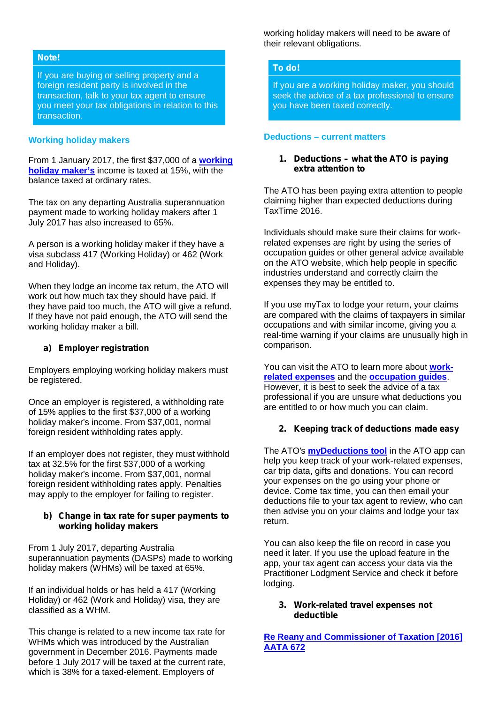#### *Note!*

If you are buying or selling property and a foreign resident party is involved in the transaction, talk to your tax agent to ensure you meet your tax obligations in relation to this transaction.

#### **Working holiday makers**

From 1 January 2017, the first \$37,000 of a **working holiday maker's** income is taxed at 15%, with the balance taxed at ordinary rates.

The tax on any departing Australia superannuation payment made to working holiday makers after 1 July 2017 has also increased to 65%.

A person is a working holiday maker if they have a visa subclass 417 (Working Holiday) or 462 (Work and Holiday).

When they lodge an income tax return, the ATO will work out how much tax they should have paid. If they have paid too much, the ATO will give a refund. If they have not paid enough, the ATO will send the working holiday maker a bill.

#### *a) Employer registration*

Employers employing working holiday makers must be registered.

Once an employer is registered, a withholding rate of 15% applies to the first \$37,000 of a working holiday maker's income. From \$37,001, normal foreign resident withholding rates apply.

If an employer does not register, they must withhold tax at 32.5% for the first \$37,000 of a working holiday maker's income. From \$37,001, normal foreign resident withholding rates apply. Penalties may apply to the employer for failing to register.

#### *b) Change in tax rate for super payments to working holiday makers*

From 1 July 2017, departing Australia superannuation payments (DASPs) made to working holiday makers (WHMs) will be taxed at 65%.

If an individual holds or has held a 417 (Working Holiday) or 462 (Work and Holiday) visa, they are classified as a WHM.

This change is related to a new income tax rate for WHMs which was introduced by the Australian government in December 2016. Payments made before 1 July 2017 will be taxed at the current rate, which is 38% for a taxed-element. Employers of

working holiday makers will need to be aware of their relevant obligations.

#### *To do!*

If you are a working holiday maker, you should seek the advice of a tax professional to ensure you have been taxed correctly.

#### **Deductions – current matters**

#### *1. Deductions – what the ATO is paying extra attention to*

The ATO has been paying extra attention to people claiming higher than expected deductions during TaxTime 2016.

Individuals should make sure their claims for workrelated expenses are right by using the series of occupation guides or other general advice available on the ATO website, which help people in specific industries understand and correctly claim the expenses they may be entitled to.

If you use myTax to lodge your return, your claims are compared with the claims of taxpayers in similar occupations and with similar income, giving you a real-time warning if your claims are unusually high in comparison.

You can visit the ATO to learn more about **work related expenses** and the **occupation guides**. However, it is best to seek the advice of a tax professional if you are unsure what deductions you are entitled to or how much you can claim.

#### *2. Keeping track of deductions made easy*

The ATO's **myDeductions tool** in the ATO app can help you keep track of your work-related expenses, car trip data, gifts and donations. You can record your expenses on the go using your phone or device. Come tax time, you can then email your deductions file to your tax agent to review, who can then advise you on your claims and lodge your tax return.

You can also keep the file on record in case you need it later. If you use the upload feature in the app, your tax agent can access your data via the Practitioner Lodgment Service and check it before lodging.

#### *3. Work-related travel expenses not deductible*

**Re Reany and Commissioner of Taxation [2016] AATA 672**